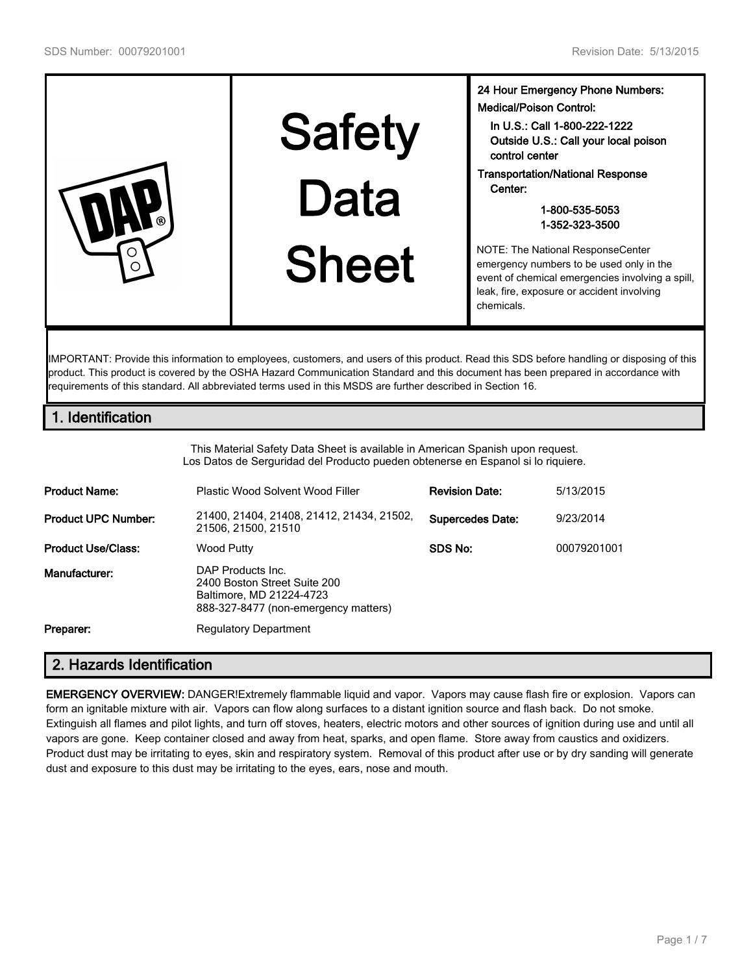|  | <b>Safety</b> | 24 Hour Emergency Phone Numbers:<br><b>Medical/Poison Control:</b><br>In U.S.: Call 1-800-222-1222<br>Outside U.S.: Call your local poison<br>control center                                  |
|--|---------------|-----------------------------------------------------------------------------------------------------------------------------------------------------------------------------------------------|
|  | Data          | <b>Transportation/National Response</b><br>Center:<br>1-800-535-5053<br>1-352-323-3500                                                                                                        |
|  | <b>Sheet</b>  | NOTE: The National ResponseCenter<br>emergency numbers to be used only in the<br>event of chemical emergencies involving a spill,<br>leak, fire, exposure or accident involving<br>chemicals. |

IMPORTANT: Provide this information to employees, customers, and users of this product. Read this SDS before handling or disposing of this product. This product is covered by the OSHA Hazard Communication Standard and this document has been prepared in accordance with requirements of this standard. All abbreviated terms used in this MSDS are further described in Section 16.

# **1. Identification**

This Material Safety Data Sheet is available in American Spanish upon request. Los Datos de Serguridad del Producto pueden obtenerse en Espanol si lo riquiere.

| <b>Product Name:</b>       | Plastic Wood Solvent Wood Filler                                                                                      | <b>Revision Date:</b>   | 5/13/2015   |
|----------------------------|-----------------------------------------------------------------------------------------------------------------------|-------------------------|-------------|
| <b>Product UPC Number:</b> | 21400, 21404, 21408, 21412, 21434, 21502,<br>21506, 21500, 21510                                                      | <b>Supercedes Date:</b> | 9/23/2014   |
| <b>Product Use/Class:</b>  | Wood Putty                                                                                                            | SDS No:                 | 00079201001 |
| Manufacturer:              | DAP Products Inc.<br>2400 Boston Street Suite 200<br>Baltimore, MD 21224-4723<br>888-327-8477 (non-emergency matters) |                         |             |
| Preparer:                  | <b>Regulatory Department</b>                                                                                          |                         |             |

# **2. Hazards Identification**

**EMERGENCY OVERVIEW:** DANGER!Extremely flammable liquid and vapor. Vapors may cause flash fire or explosion. Vapors can form an ignitable mixture with air. Vapors can flow along surfaces to a distant ignition source and flash back. Do not smoke. Extinguish all flames and pilot lights, and turn off stoves, heaters, electric motors and other sources of ignition during use and until all vapors are gone. Keep container closed and away from heat, sparks, and open flame. Store away from caustics and oxidizers. Product dust may be irritating to eyes, skin and respiratory system. Removal of this product after use or by dry sanding will generate dust and exposure to this dust may be irritating to the eyes, ears, nose and mouth.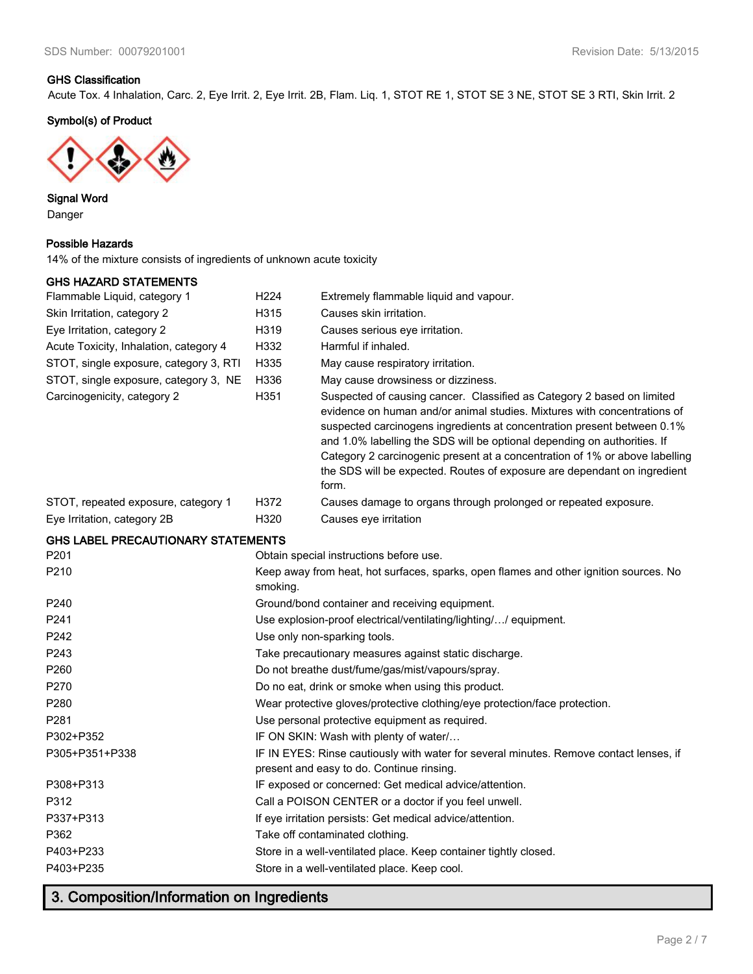### **GHS Classification**

Acute Tox. 4 Inhalation, Carc. 2, Eye Irrit. 2, Eye Irrit. 2B, Flam. Liq. 1, STOT RE 1, STOT SE 3 NE, STOT SE 3 RTI, Skin Irrit. 2

### **Symbol(s) of Product**



**Signal Word** Danger

#### **Possible Hazards**

14% of the mixture consists of ingredients of unknown acute toxicity

### **GHS HAZARD STATEMENTS**

| Flammable Liquid, category 1              | H224     | Extremely flammable liquid and vapour.                                                                                                                                                                                                                                                                                                                                                                                                                                        |
|-------------------------------------------|----------|-------------------------------------------------------------------------------------------------------------------------------------------------------------------------------------------------------------------------------------------------------------------------------------------------------------------------------------------------------------------------------------------------------------------------------------------------------------------------------|
| Skin Irritation, category 2               | H315     | Causes skin irritation.                                                                                                                                                                                                                                                                                                                                                                                                                                                       |
| Eye Irritation, category 2                | H319     | Causes serious eye irritation.                                                                                                                                                                                                                                                                                                                                                                                                                                                |
| Acute Toxicity, Inhalation, category 4    | H332     | Harmful if inhaled.                                                                                                                                                                                                                                                                                                                                                                                                                                                           |
| STOT, single exposure, category 3, RTI    | H335     | May cause respiratory irritation.                                                                                                                                                                                                                                                                                                                                                                                                                                             |
| STOT, single exposure, category 3, NE     | H336     | May cause drowsiness or dizziness.                                                                                                                                                                                                                                                                                                                                                                                                                                            |
| Carcinogenicity, category 2               | H351     | Suspected of causing cancer. Classified as Category 2 based on limited<br>evidence on human and/or animal studies. Mixtures with concentrations of<br>suspected carcinogens ingredients at concentration present between 0.1%<br>and 1.0% labelling the SDS will be optional depending on authorities. If<br>Category 2 carcinogenic present at a concentration of 1% or above labelling<br>the SDS will be expected. Routes of exposure are dependant on ingredient<br>form. |
| STOT, repeated exposure, category 1       | H372     | Causes damage to organs through prolonged or repeated exposure.                                                                                                                                                                                                                                                                                                                                                                                                               |
| Eye Irritation, category 2B               | H320     | Causes eye irritation                                                                                                                                                                                                                                                                                                                                                                                                                                                         |
| <b>GHS LABEL PRECAUTIONARY STATEMENTS</b> |          |                                                                                                                                                                                                                                                                                                                                                                                                                                                                               |
| P <sub>201</sub>                          |          | Obtain special instructions before use.                                                                                                                                                                                                                                                                                                                                                                                                                                       |
| P210                                      | smoking. | Keep away from heat, hot surfaces, sparks, open flames and other ignition sources. No                                                                                                                                                                                                                                                                                                                                                                                         |
| P240                                      |          | Ground/bond container and receiving equipment.                                                                                                                                                                                                                                                                                                                                                                                                                                |
| P241                                      |          | Use explosion-proof electrical/ventilating/lighting// equipment.                                                                                                                                                                                                                                                                                                                                                                                                              |
| P242                                      |          | Use only non-sparking tools.                                                                                                                                                                                                                                                                                                                                                                                                                                                  |
| P243                                      |          | Take precautionary measures against static discharge.                                                                                                                                                                                                                                                                                                                                                                                                                         |
| P <sub>260</sub>                          |          | Do not breathe dust/fume/gas/mist/vapours/spray.                                                                                                                                                                                                                                                                                                                                                                                                                              |
| P270                                      |          | Do no eat, drink or smoke when using this product.                                                                                                                                                                                                                                                                                                                                                                                                                            |
| P <sub>280</sub>                          |          | Wear protective gloves/protective clothing/eye protection/face protection.                                                                                                                                                                                                                                                                                                                                                                                                    |
| P <sub>281</sub>                          |          | Use personal protective equipment as required.                                                                                                                                                                                                                                                                                                                                                                                                                                |
| P302+P352                                 |          | IF ON SKIN: Wash with plenty of water/                                                                                                                                                                                                                                                                                                                                                                                                                                        |
| P305+P351+P338                            |          | IF IN EYES: Rinse cautiously with water for several minutes. Remove contact lenses, if<br>present and easy to do. Continue rinsing.                                                                                                                                                                                                                                                                                                                                           |
| P308+P313                                 |          | IF exposed or concerned: Get medical advice/attention.                                                                                                                                                                                                                                                                                                                                                                                                                        |
| P312                                      |          | Call a POISON CENTER or a doctor if you feel unwell.                                                                                                                                                                                                                                                                                                                                                                                                                          |
| P337+P313                                 |          | If eye irritation persists: Get medical advice/attention.                                                                                                                                                                                                                                                                                                                                                                                                                     |
| P362                                      |          | Take off contaminated clothing.                                                                                                                                                                                                                                                                                                                                                                                                                                               |
| P403+P233                                 |          | Store in a well-ventilated place. Keep container tightly closed.                                                                                                                                                                                                                                                                                                                                                                                                              |
| P403+P235                                 |          | Store in a well-ventilated place. Keep cool.                                                                                                                                                                                                                                                                                                                                                                                                                                  |

# **3. Composition/Information on Ingredients**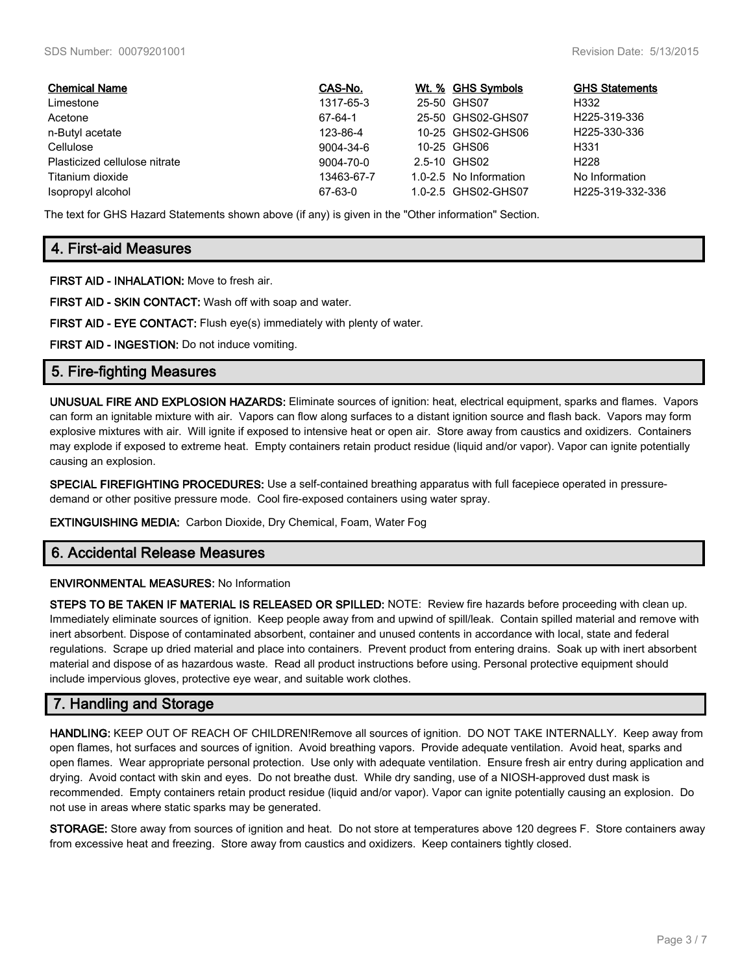| <b>Chemical Name</b>          | CAS-No.    | Wt. % GHS Symbols      | <b>GHS Statements</b>     |
|-------------------------------|------------|------------------------|---------------------------|
| Limestone                     | 1317-65-3  | 25-50 GHS07            | H332                      |
| Acetone                       | 67-64-1    | 25-50 GHS02-GHS07      | H <sub>225</sub> -319-336 |
| n-Butyl acetate               | 123-86-4   | 10-25 GHS02-GHS06      | H225-330-336              |
| Cellulose                     | 9004-34-6  | 10-25 GHS06            | H331                      |
| Plasticized cellulose nitrate | 9004-70-0  | 2.5-10 GHS02           | H <sub>228</sub>          |
| Titanium dioxide              | 13463-67-7 | 1.0-2.5 No Information | No Information            |
| Isopropyl alcohol             | 67-63-0    | 1.0-2.5 GHS02-GHS07    | H225-319-332-336          |

The text for GHS Hazard Statements shown above (if any) is given in the "Other information" Section.

### **4. First-aid Measures**

**FIRST AID - INHALATION:** Move to fresh air.

**FIRST AID - SKIN CONTACT:** Wash off with soap and water.

**FIRST AID - EYE CONTACT:** Flush eye(s) immediately with plenty of water.

**FIRST AID - INGESTION:** Do not induce vomiting.

### **5. Fire-fighting Measures**

**UNUSUAL FIRE AND EXPLOSION HAZARDS:** Eliminate sources of ignition: heat, electrical equipment, sparks and flames. Vapors can form an ignitable mixture with air. Vapors can flow along surfaces to a distant ignition source and flash back. Vapors may form explosive mixtures with air. Will ignite if exposed to intensive heat or open air. Store away from caustics and oxidizers. Containers may explode if exposed to extreme heat. Empty containers retain product residue (liquid and/or vapor). Vapor can ignite potentially causing an explosion.

**SPECIAL FIREFIGHTING PROCEDURES:** Use a self-contained breathing apparatus with full facepiece operated in pressuredemand or other positive pressure mode. Cool fire-exposed containers using water spray.

**EXTINGUISHING MEDIA:** Carbon Dioxide, Dry Chemical, Foam, Water Fog

### **6. Accidental Release Measures**

#### **ENVIRONMENTAL MEASURES:** No Information

**STEPS TO BE TAKEN IF MATERIAL IS RELEASED OR SPILLED:** NOTE: Review fire hazards before proceeding with clean up. Immediately eliminate sources of ignition. Keep people away from and upwind of spill/leak. Contain spilled material and remove with inert absorbent. Dispose of contaminated absorbent, container and unused contents in accordance with local, state and federal regulations. Scrape up dried material and place into containers. Prevent product from entering drains. Soak up with inert absorbent material and dispose of as hazardous waste. Read all product instructions before using. Personal protective equipment should include impervious gloves, protective eye wear, and suitable work clothes.

### **7. Handling and Storage**

**HANDLING:** KEEP OUT OF REACH OF CHILDREN!Remove all sources of ignition. DO NOT TAKE INTERNALLY. Keep away from open flames, hot surfaces and sources of ignition. Avoid breathing vapors. Provide adequate ventilation. Avoid heat, sparks and open flames. Wear appropriate personal protection. Use only with adequate ventilation. Ensure fresh air entry during application and drying. Avoid contact with skin and eyes. Do not breathe dust. While dry sanding, use of a NIOSH-approved dust mask is recommended. Empty containers retain product residue (liquid and/or vapor). Vapor can ignite potentially causing an explosion. Do not use in areas where static sparks may be generated.

**STORAGE:** Store away from sources of ignition and heat. Do not store at temperatures above 120 degrees F. Store containers away from excessive heat and freezing. Store away from caustics and oxidizers. Keep containers tightly closed.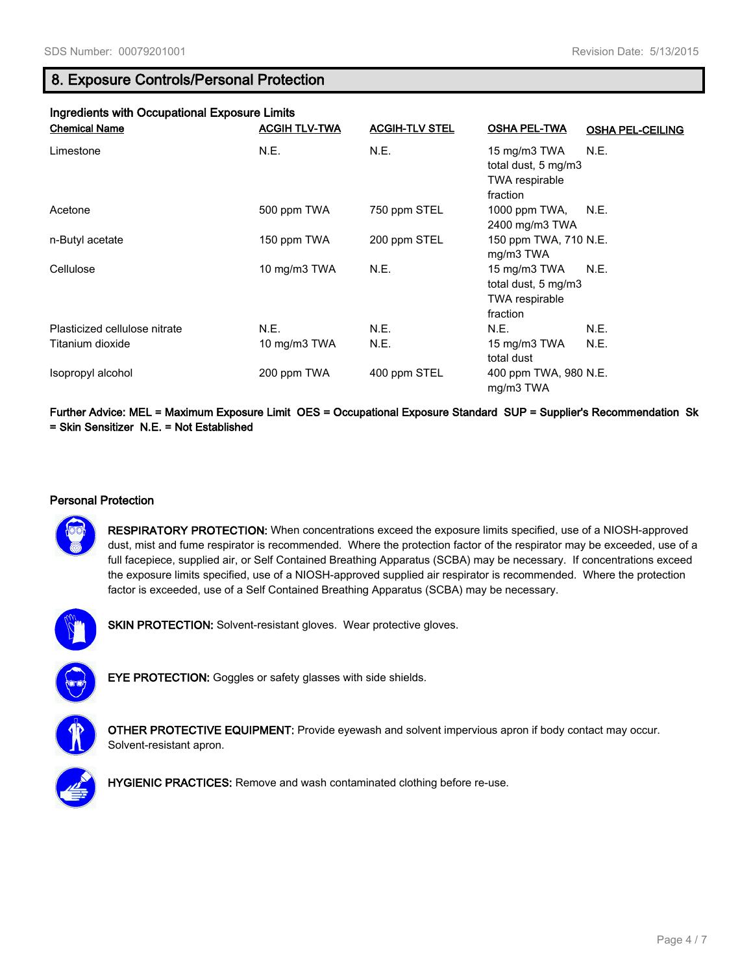### **8. Exposure Controls/Personal Protection**

| Ingredients with Occupational Exposure Limits |                      |                       |                                                                   |                         |  |  |  |
|-----------------------------------------------|----------------------|-----------------------|-------------------------------------------------------------------|-------------------------|--|--|--|
| <b>Chemical Name</b>                          | <b>ACGIH TLV-TWA</b> | <b>ACGIH-TLV STEL</b> | <b>OSHA PEL-TWA</b>                                               | <b>OSHA PEL-CEILING</b> |  |  |  |
| Limestone                                     | N.E.                 | N.E.                  | 15 mg/m3 TWA<br>total dust, 5 mg/m3<br>TWA respirable<br>fraction | N.E.                    |  |  |  |
| Acetone                                       | 500 ppm TWA          | 750 ppm STEL          | 1000 ppm TWA,<br>2400 mg/m3 TWA                                   | N.E.                    |  |  |  |
| n-Butyl acetate                               | 150 ppm TWA          | 200 ppm STEL          | 150 ppm TWA, 710 N.E.<br>mg/m3 TWA                                |                         |  |  |  |
| Cellulose                                     | 10 mg/m3 TWA         | N.E.                  | 15 mg/m3 TWA<br>total dust, 5 mg/m3<br>TWA respirable<br>fraction | N.E.                    |  |  |  |
| Plasticized cellulose nitrate                 | N.E.                 | N.E.                  | N.E.                                                              | N.E.                    |  |  |  |
| Titanium dioxide                              | 10 mg/m3 TWA         | N.E.                  | 15 mg/m3 TWA<br>total dust                                        | N.E.                    |  |  |  |
| Isopropyl alcohol                             | 200 ppm TWA          | 400 ppm STEL          | 400 ppm TWA, 980 N.E.<br>mg/m3 TWA                                |                         |  |  |  |

**Further Advice: MEL = Maximum Exposure Limit OES = Occupational Exposure Standard SUP = Supplier's Recommendation Sk = Skin Sensitizer N.E. = Not Established**

### **Personal Protection**



**RESPIRATORY PROTECTION:** When concentrations exceed the exposure limits specified, use of a NIOSH-approved dust, mist and fume respirator is recommended. Where the protection factor of the respirator may be exceeded, use of a full facepiece, supplied air, or Self Contained Breathing Apparatus (SCBA) may be necessary. If concentrations exceed the exposure limits specified, use of a NIOSH-approved supplied air respirator is recommended. Where the protection factor is exceeded, use of a Self Contained Breathing Apparatus (SCBA) may be necessary.



**SKIN PROTECTION:** Solvent-resistant gloves. Wear protective gloves.



**EYE PROTECTION:** Goggles or safety glasses with side shields.



**OTHER PROTECTIVE EQUIPMENT:** Provide eyewash and solvent impervious apron if body contact may occur. Solvent-resistant apron.



**HYGIENIC PRACTICES:** Remove and wash contaminated clothing before re-use.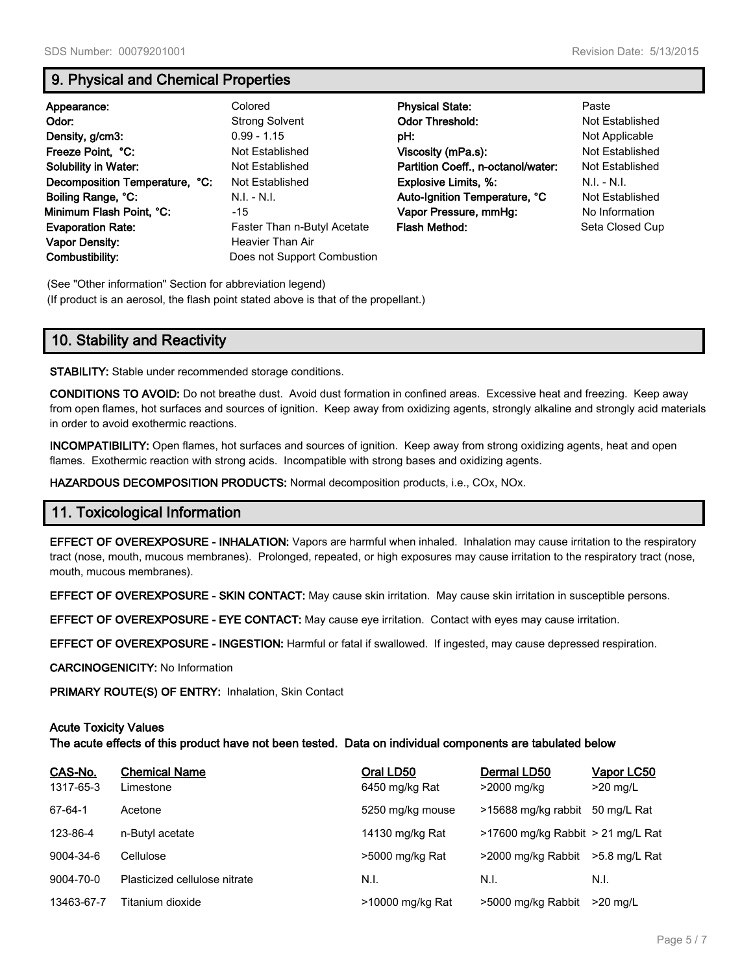### **9. Physical and Chemical Properties**

| Appearance:<br>Odor:<br>Density, g/cm3:<br>Freeze Point. °C:<br>Solubility in Water:<br>Decomposition Temperature, °C:<br>Boiling Range, °C:<br>Minimum Flash Point, °C: | Colored<br><b>Strong Solvent</b><br>$0.99 - 1.15$<br>Not Established<br>Not Established<br>Not Established<br>$N.I. - N.I.$<br>-15 | <b>Physical State:</b><br><b>Odor Threshold:</b><br>pH:<br>Viscosity (mPa.s):<br>Partition Coeff., n-octanol/water:<br><b>Explosive Limits, %:</b><br>Auto-Ignition Temperature, °C<br>Vapor Pressure, mmHg: | Paste<br>Not Established<br>Not Applicable<br>Not Established<br>Not Established<br>$N.I. - N.I.$<br>Not Established<br>No Information |
|--------------------------------------------------------------------------------------------------------------------------------------------------------------------------|------------------------------------------------------------------------------------------------------------------------------------|--------------------------------------------------------------------------------------------------------------------------------------------------------------------------------------------------------------|----------------------------------------------------------------------------------------------------------------------------------------|
| <b>Evaporation Rate:</b>                                                                                                                                                 | Faster Than n-Butyl Acetate                                                                                                        | Flash Method:                                                                                                                                                                                                | Seta Closed Cup                                                                                                                        |
| <b>Vapor Density:</b><br>Combustibility:                                                                                                                                 | Heavier Than Air<br>Does not Support Combustion                                                                                    |                                                                                                                                                                                                              |                                                                                                                                        |

(See "Other information" Section for abbreviation legend) (If product is an aerosol, the flash point stated above is that of the propellant.)

# **10. Stability and Reactivity**

**STABILITY:** Stable under recommended storage conditions.

**CONDITIONS TO AVOID:** Do not breathe dust. Avoid dust formation in confined areas. Excessive heat and freezing. Keep away from open flames, hot surfaces and sources of ignition. Keep away from oxidizing agents, strongly alkaline and strongly acid materials in order to avoid exothermic reactions.

**INCOMPATIBILITY:** Open flames, hot surfaces and sources of ignition. Keep away from strong oxidizing agents, heat and open flames. Exothermic reaction with strong acids. Incompatible with strong bases and oxidizing agents.

**HAZARDOUS DECOMPOSITION PRODUCTS:** Normal decomposition products, i.e., COx, NOx.

### **11. Toxicological Information**

**EFFECT OF OVEREXPOSURE - INHALATION:** Vapors are harmful when inhaled. Inhalation may cause irritation to the respiratory tract (nose, mouth, mucous membranes). Prolonged, repeated, or high exposures may cause irritation to the respiratory tract (nose, mouth, mucous membranes).

**EFFECT OF OVEREXPOSURE - SKIN CONTACT:** May cause skin irritation. May cause skin irritation in susceptible persons.

**EFFECT OF OVEREXPOSURE - EYE CONTACT:** May cause eye irritation. Contact with eyes may cause irritation.

**EFFECT OF OVEREXPOSURE - INGESTION:** Harmful or fatal if swallowed. If ingested, may cause depressed respiration.

**CARCINOGENICITY:** No Information

**PRIMARY ROUTE(S) OF ENTRY:** Inhalation, Skin Contact

#### **Acute Toxicity Values**

**The acute effects of this product have not been tested. Data on individual components are tabulated below**

| CAS-No.<br>1317-65-3 | <b>Chemical Name</b><br>Limestone | Oral LD50<br>6450 mg/kg Rat | Dermal LD50<br>>2000 mg/kg           | Vapor LC50<br>$>20$ mg/L |
|----------------------|-----------------------------------|-----------------------------|--------------------------------------|--------------------------|
| $67 - 64 - 1$        | Acetone                           | 5250 mg/kg mouse            | >15688 mg/kg rabbit                  | 50 mg/L Rat              |
| 123-86-4             | n-Butyl acetate                   | 14130 mg/kg Rat             | $>17600$ mg/kg Rabbit $>21$ mg/L Rat |                          |
| 9004-34-6            | Cellulose                         | >5000 mg/kg Rat             | >2000 mg/kg Rabbit                   | $>5.8$ ma/L Rat          |
| 9004-70-0            | Plasticized cellulose nitrate     | N.I.                        | N.I.                                 | N.I.                     |
| 13463-67-7           | Titanium dioxide                  | >10000 mg/kg Rat            | >5000 mg/kg Rabbit                   | $>20$ ma/L               |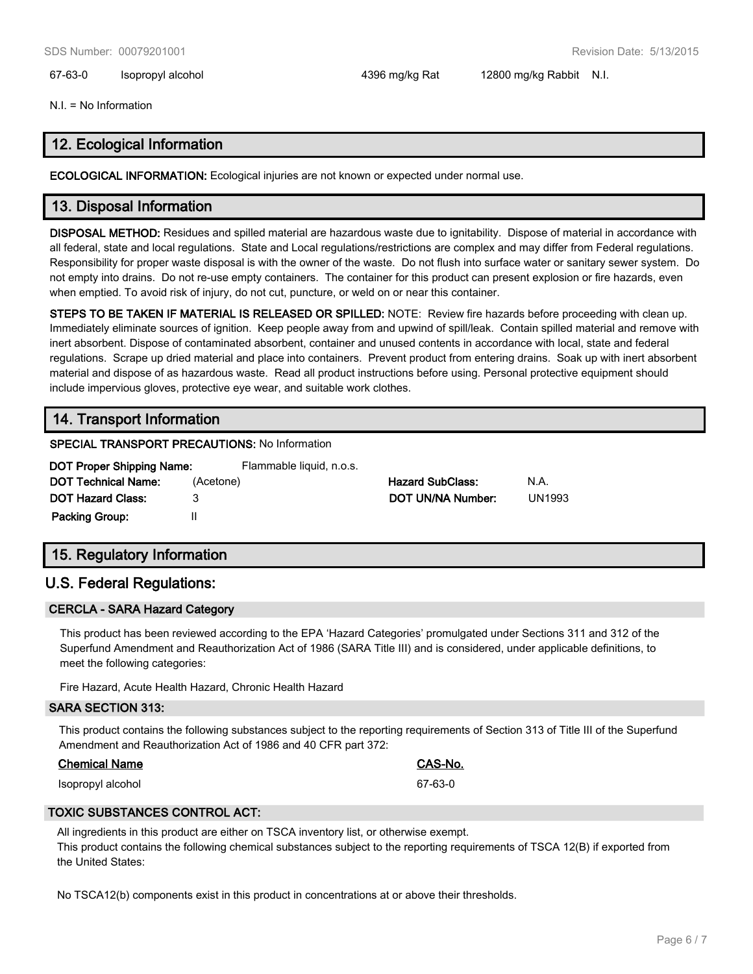67-63-0 Isopropyl alcohol 4396 mg/kg Rat 12800 mg/kg Rabbit N.I.

N.I. = No Information

### **12. Ecological Information**

**ECOLOGICAL INFORMATION:** Ecological injuries are not known or expected under normal use.

### **13. Disposal Information**

**DISPOSAL METHOD:** Residues and spilled material are hazardous waste due to ignitability. Dispose of material in accordance with all federal, state and local regulations. State and Local regulations/restrictions are complex and may differ from Federal regulations. Responsibility for proper waste disposal is with the owner of the waste. Do not flush into surface water or sanitary sewer system. Do not empty into drains. Do not re-use empty containers. The container for this product can present explosion or fire hazards, even when emptied. To avoid risk of injury, do not cut, puncture, or weld on or near this container.

**STEPS TO BE TAKEN IF MATERIAL IS RELEASED OR SPILLED:** NOTE: Review fire hazards before proceeding with clean up. Immediately eliminate sources of ignition. Keep people away from and upwind of spill/leak. Contain spilled material and remove with inert absorbent. Dispose of contaminated absorbent, container and unused contents in accordance with local, state and federal regulations. Scrape up dried material and place into containers. Prevent product from entering drains. Soak up with inert absorbent material and dispose of as hazardous waste. Read all product instructions before using. Personal protective equipment should include impervious gloves, protective eye wear, and suitable work clothes.

### **14. Transport Information**

#### **SPECIAL TRANSPORT PRECAUTIONS:** No Information

| DOT Proper Shipping Name:  | Flammable liquid, n.o.s. |                         |               |
|----------------------------|--------------------------|-------------------------|---------------|
| <b>DOT Technical Name:</b> | (Acetone)                | <b>Hazard SubClass:</b> | N.A.          |
| <b>DOT Hazard Class:</b>   |                          | DOT UN/NA Number:       | <b>UN1993</b> |
| <b>Packing Group:</b>      |                          |                         |               |

# **15. Regulatory Information**

### **U.S. Federal Regulations:**

### **CERCLA - SARA Hazard Category**

This product has been reviewed according to the EPA 'Hazard Categories' promulgated under Sections 311 and 312 of the Superfund Amendment and Reauthorization Act of 1986 (SARA Title III) and is considered, under applicable definitions, to meet the following categories:

Fire Hazard, Acute Health Hazard, Chronic Health Hazard

#### **SARA SECTION 313:**

This product contains the following substances subject to the reporting requirements of Section 313 of Title III of the Superfund Amendment and Reauthorization Act of 1986 and 40 CFR part 372:

### **Chemical Name CAS-No.**

Isopropyl alcohol 67-63-0

### **TOXIC SUBSTANCES CONTROL ACT:**

All ingredients in this product are either on TSCA inventory list, or otherwise exempt. This product contains the following chemical substances subject to the reporting requirements of TSCA 12(B) if exported from the United States:

No TSCA12(b) components exist in this product in concentrations at or above their thresholds.